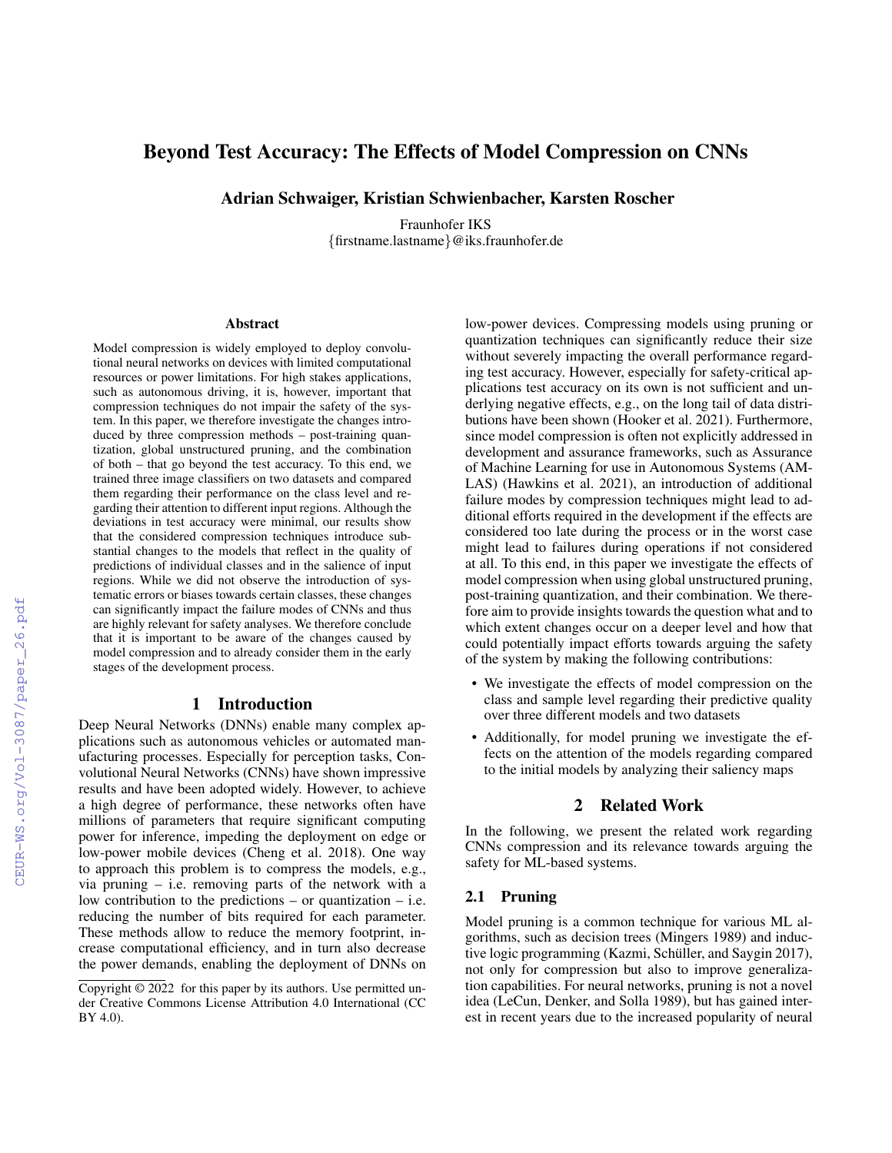# Beyond Test Accuracy: The Effects of Model Compression on CNNs

Adrian Schwaiger, Kristian Schwienbacher, Karsten Roscher

Fraunhofer IKS {firstname.lastname}@iks.fraunhofer.de

#### **Abstract**

Model compression is widely employed to deploy convolutional neural networks on devices with limited computational resources or power limitations. For high stakes applications, such as autonomous driving, it is, however, important that compression techniques do not impair the safety of the system. In this paper, we therefore investigate the changes introduced by three compression methods – post-training quantization, global unstructured pruning, and the combination of both – that go beyond the test accuracy. To this end, we trained three image classifiers on two datasets and compared them regarding their performance on the class level and regarding their attention to different input regions. Although the deviations in test accuracy were minimal, our results show that the considered compression techniques introduce substantial changes to the models that reflect in the quality of predictions of individual classes and in the salience of input regions. While we did not observe the introduction of systematic errors or biases towards certain classes, these changes can significantly impact the failure modes of CNNs and thus are highly relevant for safety analyses. We therefore conclude that it is important to be aware of the changes caused by model compression and to already consider them in the early stages of the development process.

# 1 Introduction

Deep Neural Networks (DNNs) enable many complex applications such as autonomous vehicles or automated manufacturing processes. Especially for perception tasks, Convolutional Neural Networks (CNNs) have shown impressive results and have been adopted widely. However, to achieve a high degree of performance, these networks often have millions of parameters that require significant computing power for inference, impeding the deployment on edge or low-power mobile devices (Cheng et al. 2018). One way to approach this problem is to compress the models, e.g., via pruning – i.e. removing parts of the network with a low contribution to the predictions – or quantization – i.e. reducing the number of bits required for each parameter. These methods allow to reduce the memory footprint, increase computational efficiency, and in turn also decrease the power demands, enabling the deployment of DNNs on

low-power devices. Compressing models using pruning or quantization techniques can significantly reduce their size without severely impacting the overall performance regarding test accuracy. However, especially for safety-critical applications test accuracy on its own is not sufficient and underlying negative effects, e.g., on the long tail of data distributions have been shown (Hooker et al. 2021). Furthermore, since model compression is often not explicitly addressed in development and assurance frameworks, such as Assurance of Machine Learning for use in Autonomous Systems (AM-LAS) (Hawkins et al. 2021), an introduction of additional failure modes by compression techniques might lead to additional efforts required in the development if the effects are considered too late during the process or in the worst case might lead to failures during operations if not considered at all. To this end, in this paper we investigate the effects of model compression when using global unstructured pruning, post-training quantization, and their combination. We therefore aim to provide insights towards the question what and to which extent changes occur on a deeper level and how that could potentially impact efforts towards arguing the safety of the system by making the following contributions:

- We investigate the effects of model compression on the class and sample level regarding their predictive quality over three different models and two datasets
- Additionally, for model pruning we investigate the effects on the attention of the models regarding compared to the initial models by analyzing their saliency maps

#### 2 Related Work

In the following, we present the related work regarding CNNs compression and its relevance towards arguing the safety for ML-based systems.

### 2.1 Pruning

Model pruning is a common technique for various ML algorithms, such as decision trees (Mingers 1989) and inductive logic programming (Kazmi, Schüller, and Saygin 2017), not only for compression but also to improve generalization capabilities. For neural networks, pruning is not a novel idea (LeCun, Denker, and Solla 1989), but has gained interest in recent years due to the increased popularity of neural

Copyright  $\odot$  2022 for this paper by its authors. Use permitted under Creative Commons License Attribution 4.0 International (CC BY 4.0).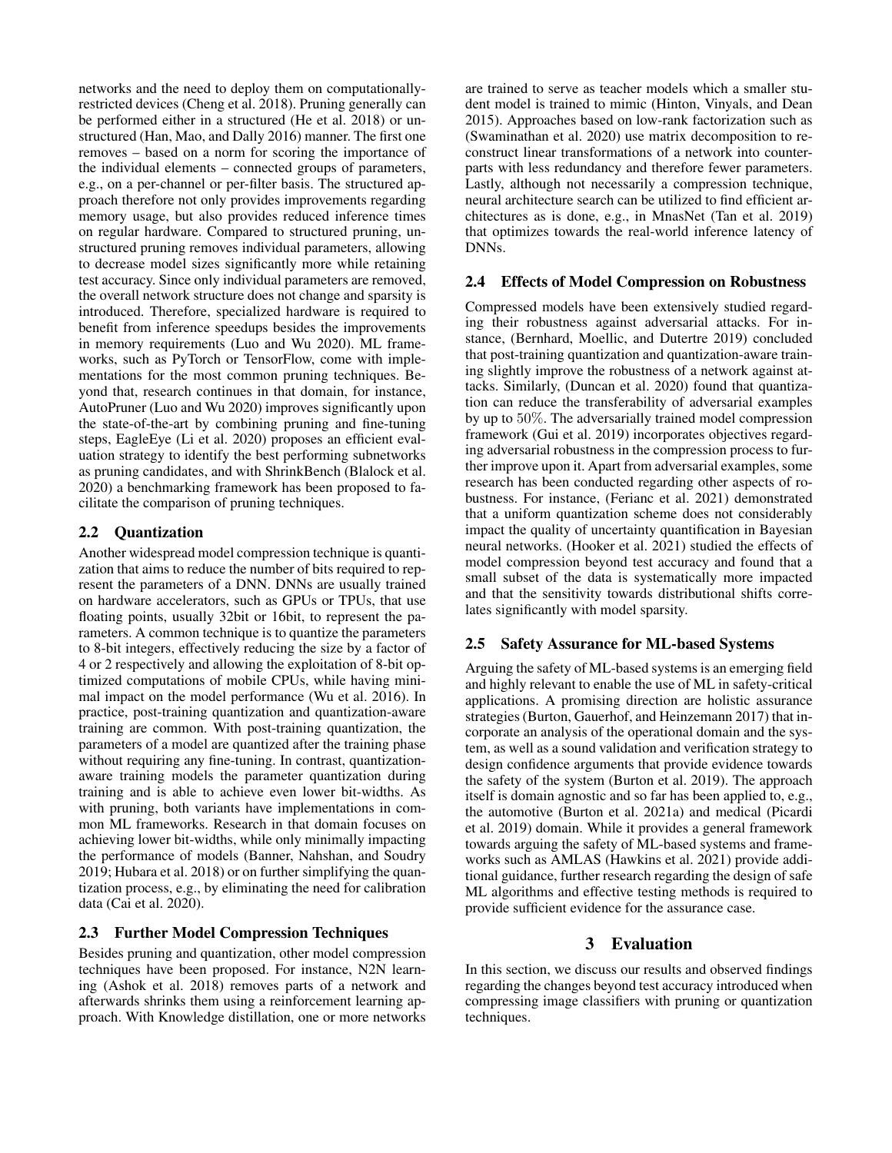networks and the need to deploy them on computationallyrestricted devices (Cheng et al. 2018). Pruning generally can be performed either in a structured (He et al. 2018) or unstructured (Han, Mao, and Dally 2016) manner. The first one removes – based on a norm for scoring the importance of the individual elements – connected groups of parameters, e.g., on a per-channel or per-filter basis. The structured approach therefore not only provides improvements regarding memory usage, but also provides reduced inference times on regular hardware. Compared to structured pruning, unstructured pruning removes individual parameters, allowing to decrease model sizes significantly more while retaining test accuracy. Since only individual parameters are removed, the overall network structure does not change and sparsity is introduced. Therefore, specialized hardware is required to benefit from inference speedups besides the improvements in memory requirements (Luo and Wu 2020). ML frameworks, such as PyTorch or TensorFlow, come with implementations for the most common pruning techniques. Beyond that, research continues in that domain, for instance, AutoPruner (Luo and Wu 2020) improves significantly upon the state-of-the-art by combining pruning and fine-tuning steps, EagleEye (Li et al. 2020) proposes an efficient evaluation strategy to identify the best performing subnetworks as pruning candidates, and with ShrinkBench (Blalock et al. 2020) a benchmarking framework has been proposed to facilitate the comparison of pruning techniques.

## 2.2 Quantization

Another widespread model compression technique is quantization that aims to reduce the number of bits required to represent the parameters of a DNN. DNNs are usually trained on hardware accelerators, such as GPUs or TPUs, that use floating points, usually 32bit or 16bit, to represent the parameters. A common technique is to quantize the parameters to 8-bit integers, effectively reducing the size by a factor of 4 or 2 respectively and allowing the exploitation of 8-bit optimized computations of mobile CPUs, while having minimal impact on the model performance (Wu et al. 2016). In practice, post-training quantization and quantization-aware training are common. With post-training quantization, the parameters of a model are quantized after the training phase without requiring any fine-tuning. In contrast, quantizationaware training models the parameter quantization during training and is able to achieve even lower bit-widths. As with pruning, both variants have implementations in common ML frameworks. Research in that domain focuses on achieving lower bit-widths, while only minimally impacting the performance of models (Banner, Nahshan, and Soudry 2019; Hubara et al. 2018) or on further simplifying the quantization process, e.g., by eliminating the need for calibration data (Cai et al. 2020).

## 2.3 Further Model Compression Techniques

Besides pruning and quantization, other model compression techniques have been proposed. For instance, N2N learning (Ashok et al. 2018) removes parts of a network and afterwards shrinks them using a reinforcement learning approach. With Knowledge distillation, one or more networks

are trained to serve as teacher models which a smaller student model is trained to mimic (Hinton, Vinyals, and Dean 2015). Approaches based on low-rank factorization such as (Swaminathan et al. 2020) use matrix decomposition to reconstruct linear transformations of a network into counterparts with less redundancy and therefore fewer parameters. Lastly, although not necessarily a compression technique, neural architecture search can be utilized to find efficient architectures as is done, e.g., in MnasNet (Tan et al. 2019) that optimizes towards the real-world inference latency of DNNs.

#### 2.4 Effects of Model Compression on Robustness

Compressed models have been extensively studied regarding their robustness against adversarial attacks. For instance, (Bernhard, Moellic, and Dutertre 2019) concluded that post-training quantization and quantization-aware training slightly improve the robustness of a network against attacks. Similarly, (Duncan et al. 2020) found that quantization can reduce the transferability of adversarial examples by up to 50%. The adversarially trained model compression framework (Gui et al. 2019) incorporates objectives regarding adversarial robustness in the compression process to further improve upon it. Apart from adversarial examples, some research has been conducted regarding other aspects of robustness. For instance, (Ferianc et al. 2021) demonstrated that a uniform quantization scheme does not considerably impact the quality of uncertainty quantification in Bayesian neural networks. (Hooker et al. 2021) studied the effects of model compression beyond test accuracy and found that a small subset of the data is systematically more impacted and that the sensitivity towards distributional shifts correlates significantly with model sparsity.

## 2.5 Safety Assurance for ML-based Systems

Arguing the safety of ML-based systems is an emerging field and highly relevant to enable the use of ML in safety-critical applications. A promising direction are holistic assurance strategies (Burton, Gauerhof, and Heinzemann 2017) that incorporate an analysis of the operational domain and the system, as well as a sound validation and verification strategy to design confidence arguments that provide evidence towards the safety of the system (Burton et al. 2019). The approach itself is domain agnostic and so far has been applied to, e.g., the automotive (Burton et al. 2021a) and medical (Picardi et al. 2019) domain. While it provides a general framework towards arguing the safety of ML-based systems and frameworks such as AMLAS (Hawkins et al. 2021) provide additional guidance, further research regarding the design of safe ML algorithms and effective testing methods is required to provide sufficient evidence for the assurance case.

## 3 Evaluation

In this section, we discuss our results and observed findings regarding the changes beyond test accuracy introduced when compressing image classifiers with pruning or quantization techniques.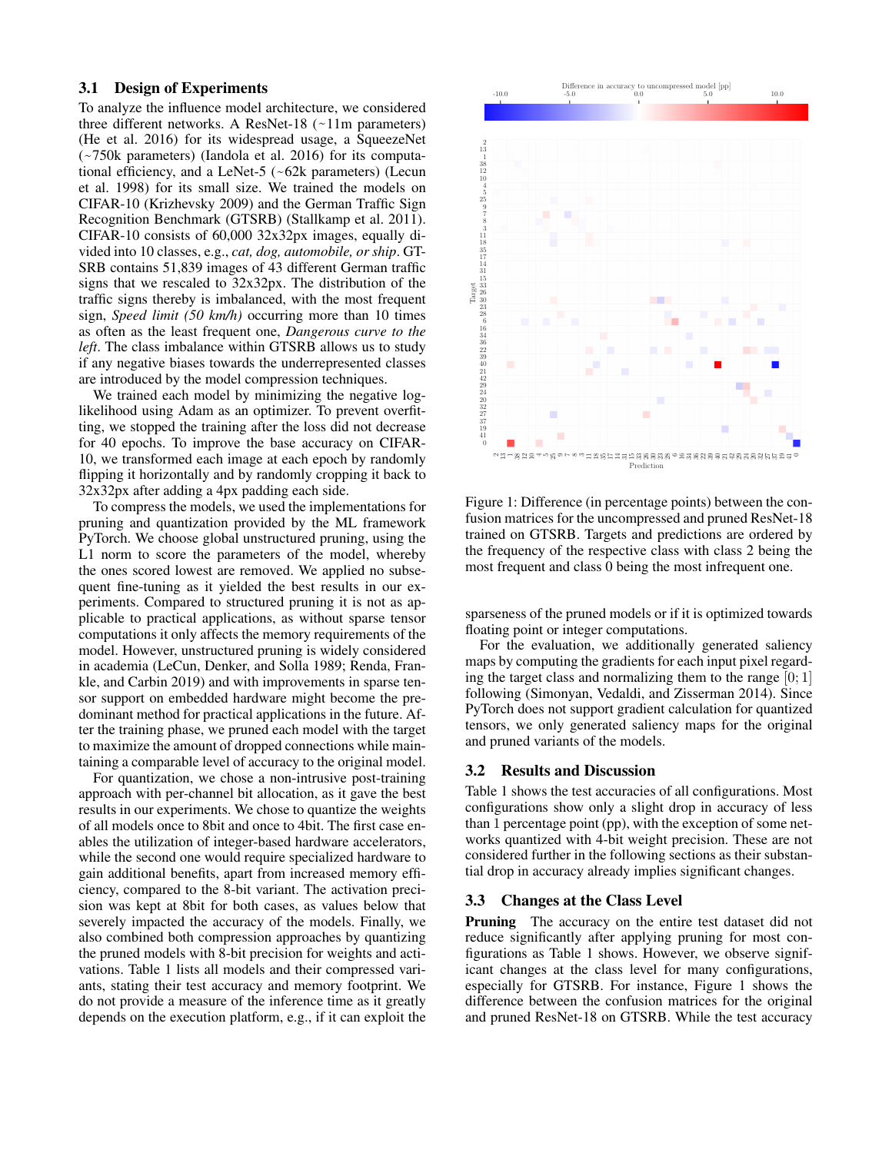### 3.1 Design of Experiments

To analyze the influence model architecture, we considered three different networks. A ResNet-18  $(-11m)$  parameters) (He et al. 2016) for its widespread usage, a SqueezeNet  $(\sim 750k$  parameters) (Iandola et al. 2016) for its computational efficiency, and a LeNet-5 ( $\sim$  62k parameters) (Lecun et al. 1998) for its small size. We trained the models on CIFAR-10 (Krizhevsky 2009) and the German Traffic Sign Recognition Benchmark (GTSRB) (Stallkamp et al. 2011). CIFAR-10 consists of 60,000 32x32px images, equally divided into 10 classes, e.g., *cat, dog, automobile, or ship*. GT-SRB contains 51,839 images of 43 different German traffic signs that we rescaled to 32x32px. The distribution of the traffic signs thereby is imbalanced, with the most frequent sign, *Speed limit (50 km/h)* occurring more than 10 times as often as the least frequent one, *Dangerous curve to the left*. The class imbalance within GTSRB allows us to study if any negative biases towards the underrepresented classes are introduced by the model compression techniques.

We trained each model by minimizing the negative loglikelihood using Adam as an optimizer. To prevent overfitting, we stopped the training after the loss did not decrease for 40 epochs. To improve the base accuracy on CIFAR-10, we transformed each image at each epoch by randomly flipping it horizontally and by randomly cropping it back to 32x32px after adding a 4px padding each side.

To compress the models, we used the implementations for pruning and quantization provided by the ML framework PyTorch. We choose global unstructured pruning, using the L1 norm to score the parameters of the model, whereby the ones scored lowest are removed. We applied no subsequent fine-tuning as it yielded the best results in our experiments. Compared to structured pruning it is not as applicable to practical applications, as without sparse tensor computations it only affects the memory requirements of the model. However, unstructured pruning is widely considered in academia (LeCun, Denker, and Solla 1989; Renda, Frankle, and Carbin 2019) and with improvements in sparse tensor support on embedded hardware might become the predominant method for practical applications in the future. After the training phase, we pruned each model with the target to maximize the amount of dropped connections while maintaining a comparable level of accuracy to the original model.

For quantization, we chose a non-intrusive post-training approach with per-channel bit allocation, as it gave the best results in our experiments. We chose to quantize the weights of all models once to 8bit and once to 4bit. The first case enables the utilization of integer-based hardware accelerators, while the second one would require specialized hardware to gain additional benefits, apart from increased memory efficiency, compared to the 8-bit variant. The activation precision was kept at 8bit for both cases, as values below that severely impacted the accuracy of the models. Finally, we also combined both compression approaches by quantizing the pruned models with 8-bit precision for weights and activations. Table 1 lists all models and their compressed variants, stating their test accuracy and memory footprint. We do not provide a measure of the inference time as it greatly depends on the execution platform, e.g., if it can exploit the



Figure 1: Difference (in percentage points) between the confusion matrices for the uncompressed and pruned ResNet-18 trained on GTSRB. Targets and predictions are ordered by the frequency of the respective class with class 2 being the most frequent and class 0 being the most infrequent one.

sparseness of the pruned models or if it is optimized towards floating point or integer computations.

For the evaluation, we additionally generated saliency maps by computing the gradients for each input pixel regarding the target class and normalizing them to the range  $[0; 1]$ following (Simonyan, Vedaldi, and Zisserman 2014). Since PyTorch does not support gradient calculation for quantized tensors, we only generated saliency maps for the original and pruned variants of the models.

#### 3.2 Results and Discussion

Table 1 shows the test accuracies of all configurations. Most configurations show only a slight drop in accuracy of less than 1 percentage point (pp), with the exception of some networks quantized with 4-bit weight precision. These are not considered further in the following sections as their substantial drop in accuracy already implies significant changes.

#### 3.3 Changes at the Class Level

Pruning The accuracy on the entire test dataset did not reduce significantly after applying pruning for most configurations as Table 1 shows. However, we observe significant changes at the class level for many configurations, especially for GTSRB. For instance, Figure 1 shows the difference between the confusion matrices for the original and pruned ResNet-18 on GTSRB. While the test accuracy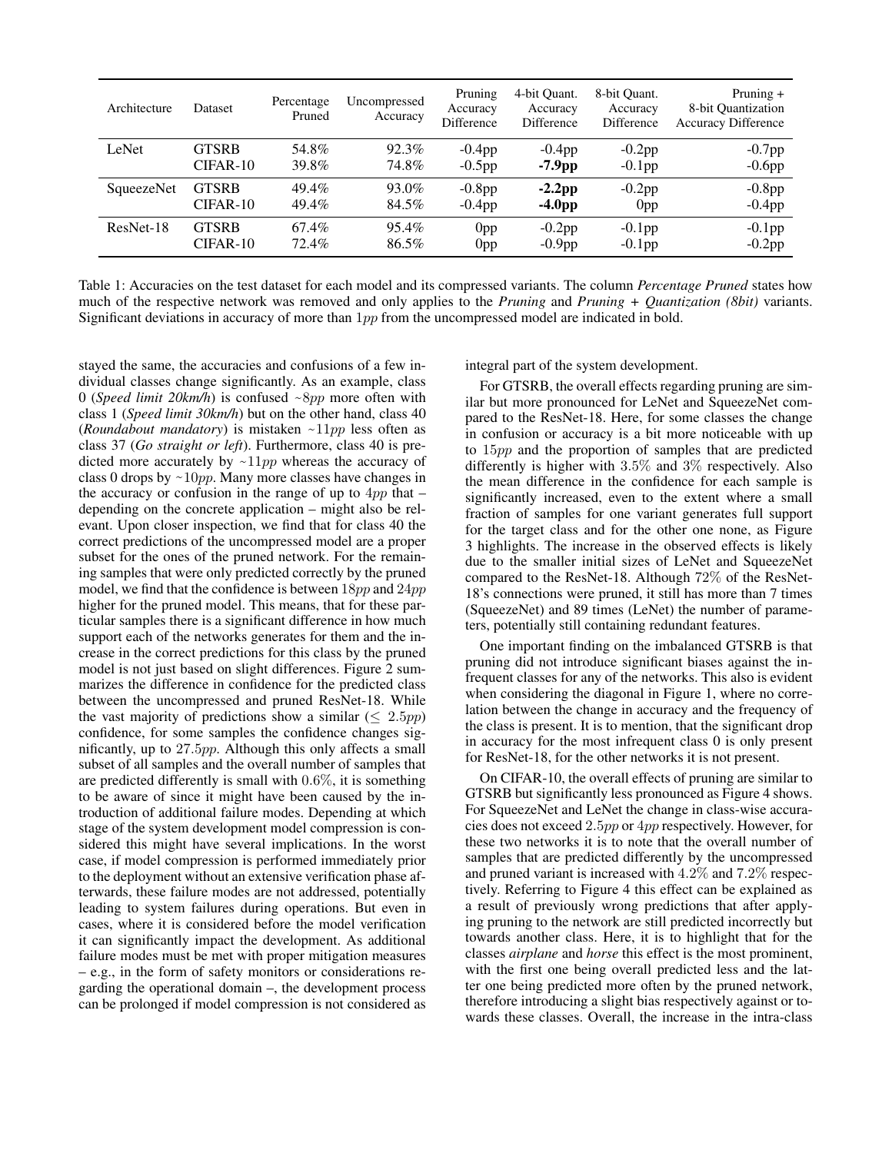| Architecture | Dataset      | Percentage<br>Pruned | Uncompressed<br>Accuracy | Pruning<br>Accuracy<br><b>Difference</b> | 4-bit Quant.<br>Accuracy<br>Difference | 8-bit Quant.<br>Accuracy<br>Difference | Pruning $+$<br>8-bit Quantization<br><b>Accuracy Difference</b> |
|--------------|--------------|----------------------|--------------------------|------------------------------------------|----------------------------------------|----------------------------------------|-----------------------------------------------------------------|
| LeNet        | <b>GTSRB</b> | 54.8%                | 92.3%                    | $-0.4$ pp                                | $-0.4$ pp                              | $-0.2$ pp                              | $-0.7$ pp                                                       |
|              | $CIFAR-10$   | 39.8%                | 74.8%                    | $-0.5$ pp                                | $-7.9pp$                               | $-0.1$ pp                              | $-0.6$ pp                                                       |
| SqueezeNet   | <b>GTSRB</b> | 49.4%                | 93.0%                    | $-0.8pp$                                 | $-2.2pp$                               | $-0.2$ pp                              | $-0.8$ pp                                                       |
|              | $CIFAR-10$   | 49.4%                | 84.5%                    | $-0.4$ pp                                | $-4.0pp$                               | 0 <sub>pp</sub>                        | $-0.4$ pp                                                       |
| ResNet-18    | <b>GTSRB</b> | 67.4%                | 95.4%                    | 0 <sub>pp</sub>                          | $-0.2$ pp                              | $-0.1$ pp                              | $-0.1$ pp                                                       |
|              | $CIFAR-10$   | 72.4%                | 86.5%                    | 0pp                                      | $-0.9$ pp                              | $-0.1$ pp                              | $-0.2$ pp                                                       |

Table 1: Accuracies on the test dataset for each model and its compressed variants. The column *Percentage Pruned* states how much of the respective network was removed and only applies to the *Pruning* and *Pruning + Quantization (8bit)* variants. Significant deviations in accuracy of more than  $1pp$  from the uncompressed model are indicated in bold.

stayed the same, the accuracies and confusions of a few individual classes change significantly. As an example, class 0 (*Speed limit 20km/h*) is confused ~8pp more often with class 1 (*Speed limit 30km/h*) but on the other hand, class 40 (*Roundabout mandatory*) is mistaken ~11pp less often as class 37 (*Go straight or left*). Furthermore, class 40 is predicted more accurately by  $\sim 11pp$  whereas the accuracy of class 0 drops by  $\sim 10pp$ . Many more classes have changes in the accuracy or confusion in the range of up to  $4pp$  that – depending on the concrete application – might also be relevant. Upon closer inspection, we find that for class 40 the correct predictions of the uncompressed model are a proper subset for the ones of the pruned network. For the remaining samples that were only predicted correctly by the pruned model, we find that the confidence is between  $18pp$  and  $24pp$ higher for the pruned model. This means, that for these particular samples there is a significant difference in how much support each of the networks generates for them and the increase in the correct predictions for this class by the pruned model is not just based on slight differences. Figure 2 summarizes the difference in confidence for the predicted class between the uncompressed and pruned ResNet-18. While the vast majority of predictions show a similar ( $\leq 2.5pp$ ) confidence, for some samples the confidence changes significantly, up to 27.5pp. Although this only affects a small subset of all samples and the overall number of samples that are predicted differently is small with 0.6%, it is something to be aware of since it might have been caused by the introduction of additional failure modes. Depending at which stage of the system development model compression is considered this might have several implications. In the worst case, if model compression is performed immediately prior to the deployment without an extensive verification phase afterwards, these failure modes are not addressed, potentially leading to system failures during operations. But even in cases, where it is considered before the model verification it can significantly impact the development. As additional failure modes must be met with proper mitigation measures – e.g., in the form of safety monitors or considerations regarding the operational domain –, the development process can be prolonged if model compression is not considered as

integral part of the system development.

For GTSRB, the overall effects regarding pruning are similar but more pronounced for LeNet and SqueezeNet compared to the ResNet-18. Here, for some classes the change in confusion or accuracy is a bit more noticeable with up to 15pp and the proportion of samples that are predicted differently is higher with 3.5% and 3% respectively. Also the mean difference in the confidence for each sample is significantly increased, even to the extent where a small fraction of samples for one variant generates full support for the target class and for the other one none, as Figure 3 highlights. The increase in the observed effects is likely due to the smaller initial sizes of LeNet and SqueezeNet compared to the ResNet-18. Although 72% of the ResNet-18's connections were pruned, it still has more than 7 times (SqueezeNet) and 89 times (LeNet) the number of parameters, potentially still containing redundant features.

One important finding on the imbalanced GTSRB is that pruning did not introduce significant biases against the infrequent classes for any of the networks. This also is evident when considering the diagonal in Figure 1, where no correlation between the change in accuracy and the frequency of the class is present. It is to mention, that the significant drop in accuracy for the most infrequent class 0 is only present for ResNet-18, for the other networks it is not present.

On CIFAR-10, the overall effects of pruning are similar to GTSRB but significantly less pronounced as Figure 4 shows. For SqueezeNet and LeNet the change in class-wise accuracies does not exceed 2.5pp or 4pp respectively. However, for these two networks it is to note that the overall number of samples that are predicted differently by the uncompressed and pruned variant is increased with 4.2% and 7.2% respectively. Referring to Figure 4 this effect can be explained as a result of previously wrong predictions that after applying pruning to the network are still predicted incorrectly but towards another class. Here, it is to highlight that for the classes *airplane* and *horse* this effect is the most prominent, with the first one being overall predicted less and the latter one being predicted more often by the pruned network, therefore introducing a slight bias respectively against or towards these classes. Overall, the increase in the intra-class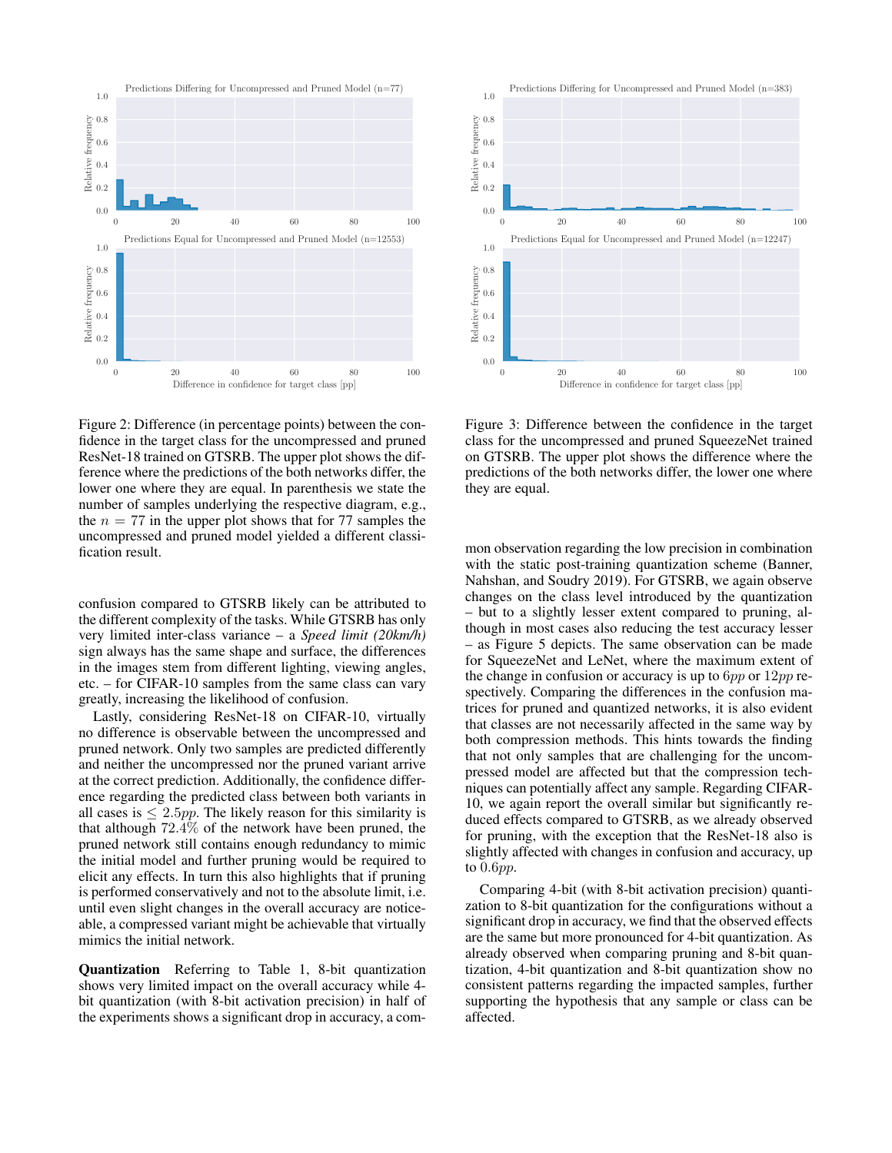

Figure 2: Difference (in percentage points) between the confidence in the target class for the uncompressed and pruned ResNet-18 trained on GTSRB. The upper plot shows the difference where the predictions of the both networks differ, the lower one where they are equal. In parenthesis we state the number of samples underlying the respective diagram, e.g., the  $n = 77$  in the upper plot shows that for 77 samples the uncompressed and pruned model yielded a different classification result.

confusion compared to GTSRB likely can be attributed to the different complexity of the tasks. While GTSRB has only very limited inter-class variance – a *Speed limit (20km/h)* sign always has the same shape and surface, the differences in the images stem from different lighting, viewing angles, etc. – for CIFAR-10 samples from the same class can vary greatly, increasing the likelihood of confusion.

Lastly, considering ResNet-18 on CIFAR-10, virtually no difference is observable between the uncompressed and pruned network. Only two samples are predicted differently and neither the uncompressed nor the pruned variant arrive at the correct prediction. Additionally, the confidence difference regarding the predicted class between both variants in all cases is  $\leq 2.5pp$ . The likely reason for this similarity is that although 72.4% of the network have been pruned, the pruned network still contains enough redundancy to mimic the initial model and further pruning would be required to elicit any effects. In turn this also highlights that if pruning is performed conservatively and not to the absolute limit, i.e. until even slight changes in the overall accuracy are noticeable, a compressed variant might be achievable that virtually mimics the initial network.

Quantization Referring to Table 1, 8-bit quantization shows very limited impact on the overall accuracy while 4 bit quantization (with 8-bit activation precision) in half of the experiments shows a significant drop in accuracy, a com-



Figure 3: Difference between the confidence in the target class for the uncompressed and pruned SqueezeNet trained on GTSRB. The upper plot shows the difference where the predictions of the both networks differ, the lower one where they are equal.

mon observation regarding the low precision in combination with the static post-training quantization scheme (Banner, Nahshan, and Soudry 2019). For GTSRB, we again observe changes on the class level introduced by the quantization – but to a slightly lesser extent compared to pruning, although in most cases also reducing the test accuracy lesser – as Figure 5 depicts. The same observation can be made for SqueezeNet and LeNet, where the maximum extent of the change in confusion or accuracy is up to  $6pp$  or  $12pp$  respectively. Comparing the differences in the confusion matrices for pruned and quantized networks, it is also evident that classes are not necessarily affected in the same way by both compression methods. This hints towards the finding that not only samples that are challenging for the uncompressed model are affected but that the compression techniques can potentially affect any sample. Regarding CIFAR-10, we again report the overall similar but significantly reduced effects compared to GTSRB, as we already observed for pruning, with the exception that the ResNet-18 also is slightly affected with changes in confusion and accuracy, up to 0.6pp.

Comparing 4-bit (with 8-bit activation precision) quantization to 8-bit quantization for the configurations without a significant drop in accuracy, we find that the observed effects are the same but more pronounced for 4-bit quantization. As already observed when comparing pruning and 8-bit quantization, 4-bit quantization and 8-bit quantization show no consistent patterns regarding the impacted samples, further supporting the hypothesis that any sample or class can be affected.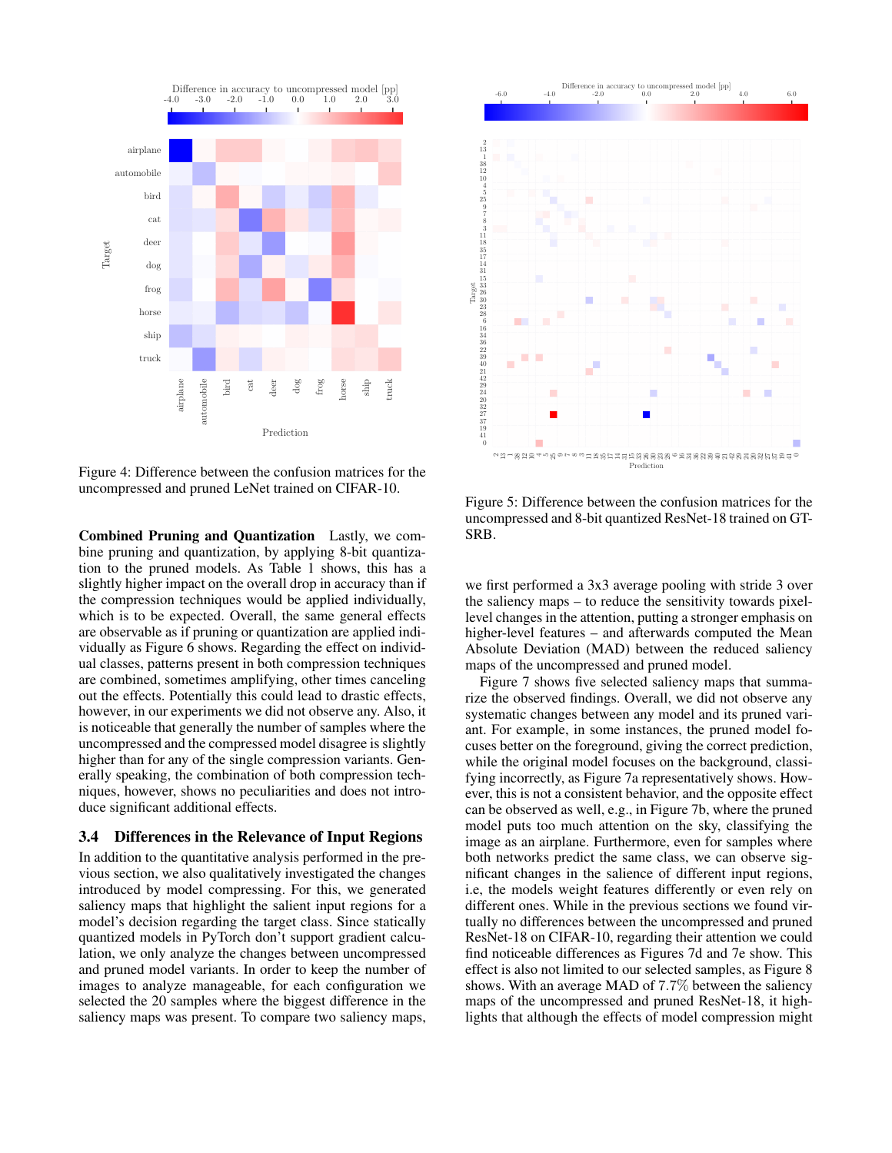

Figure 4: Difference between the confusion matrices for the uncompressed and pruned LeNet trained on CIFAR-10.

Combined Pruning and Quantization Lastly, we combine pruning and quantization, by applying 8-bit quantization to the pruned models. As Table 1 shows, this has a slightly higher impact on the overall drop in accuracy than if the compression techniques would be applied individually, which is to be expected. Overall, the same general effects are observable as if pruning or quantization are applied individually as Figure 6 shows. Regarding the effect on individual classes, patterns present in both compression techniques are combined, sometimes amplifying, other times canceling out the effects. Potentially this could lead to drastic effects, however, in our experiments we did not observe any. Also, it is noticeable that generally the number of samples where the uncompressed and the compressed model disagree is slightly higher than for any of the single compression variants. Generally speaking, the combination of both compression techniques, however, shows no peculiarities and does not introduce significant additional effects.

#### 3.4 Differences in the Relevance of Input Regions

In addition to the quantitative analysis performed in the previous section, we also qualitatively investigated the changes introduced by model compressing. For this, we generated saliency maps that highlight the salient input regions for a model's decision regarding the target class. Since statically quantized models in PyTorch don't support gradient calculation, we only analyze the changes between uncompressed and pruned model variants. In order to keep the number of images to analyze manageable, for each configuration we selected the 20 samples where the biggest difference in the saliency maps was present. To compare two saliency maps,



Figure 5: Difference between the confusion matrices for the uncompressed and 8-bit quantized ResNet-18 trained on GT-SRB.

we first performed a 3x3 average pooling with stride 3 over the saliency maps – to reduce the sensitivity towards pixellevel changes in the attention, putting a stronger emphasis on higher-level features – and afterwards computed the Mean Absolute Deviation (MAD) between the reduced saliency maps of the uncompressed and pruned model.

Figure 7 shows five selected saliency maps that summarize the observed findings. Overall, we did not observe any systematic changes between any model and its pruned variant. For example, in some instances, the pruned model focuses better on the foreground, giving the correct prediction, while the original model focuses on the background, classifying incorrectly, as Figure 7a representatively shows. However, this is not a consistent behavior, and the opposite effect can be observed as well, e.g., in Figure 7b, where the pruned model puts too much attention on the sky, classifying the image as an airplane. Furthermore, even for samples where both networks predict the same class, we can observe significant changes in the salience of different input regions, i.e, the models weight features differently or even rely on different ones. While in the previous sections we found virtually no differences between the uncompressed and pruned ResNet-18 on CIFAR-10, regarding their attention we could find noticeable differences as Figures 7d and 7e show. This effect is also not limited to our selected samples, as Figure 8 shows. With an average MAD of 7.7% between the saliency maps of the uncompressed and pruned ResNet-18, it highlights that although the effects of model compression might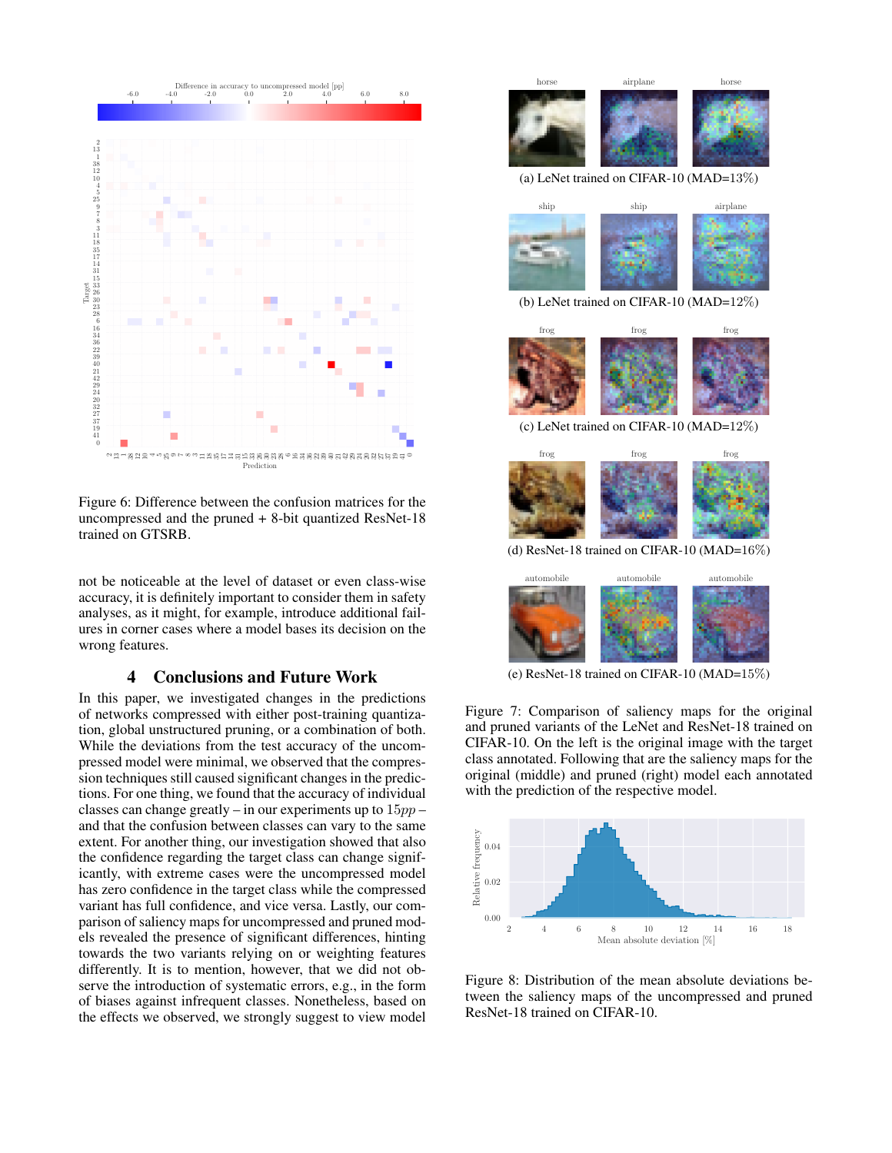

Figure 6: Difference between the confusion matrices for the uncompressed and the pruned + 8-bit quantized ResNet-18 trained on GTSRB.

not be noticeable at the level of dataset or even class-wise accuracy, it is definitely important to consider them in safety analyses, as it might, for example, introduce additional failures in corner cases where a model bases its decision on the wrong features.

#### 4 Conclusions and Future Work

In this paper, we investigated changes in the predictions of networks compressed with either post-training quantization, global unstructured pruning, or a combination of both. While the deviations from the test accuracy of the uncompressed model were minimal, we observed that the compression techniques still caused significant changes in the predictions. For one thing, we found that the accuracy of individual classes can change greatly – in our experiments up to  $15pp$  – and that the confusion between classes can vary to the same extent. For another thing, our investigation showed that also the confidence regarding the target class can change significantly, with extreme cases were the uncompressed model has zero confidence in the target class while the compressed variant has full confidence, and vice versa. Lastly, our comparison of saliency maps for uncompressed and pruned models revealed the presence of significant differences, hinting towards the two variants relying on or weighting features differently. It is to mention, however, that we did not observe the introduction of systematic errors, e.g., in the form of biases against infrequent classes. Nonetheless, based on the effects we observed, we strongly suggest to view model



(a) LeNet trained on CIFAR-10 (MAD=13%)



(b) LeNet trained on CIFAR-10 (MAD=12%)



(c) LeNet trained on CIFAR-10 (MAD=12%)



(d) ResNet-18 trained on CIFAR-10 (MAD=16%)



(e) ResNet-18 trained on CIFAR-10 (MAD=15%)

Figure 7: Comparison of saliency maps for the original and pruned variants of the LeNet and ResNet-18 trained on CIFAR-10. On the left is the original image with the target class annotated. Following that are the saliency maps for the original (middle) and pruned (right) model each annotated with the prediction of the respective model.



Figure 8: Distribution of the mean absolute deviations between the saliency maps of the uncompressed and pruned ResNet-18 trained on CIFAR-10.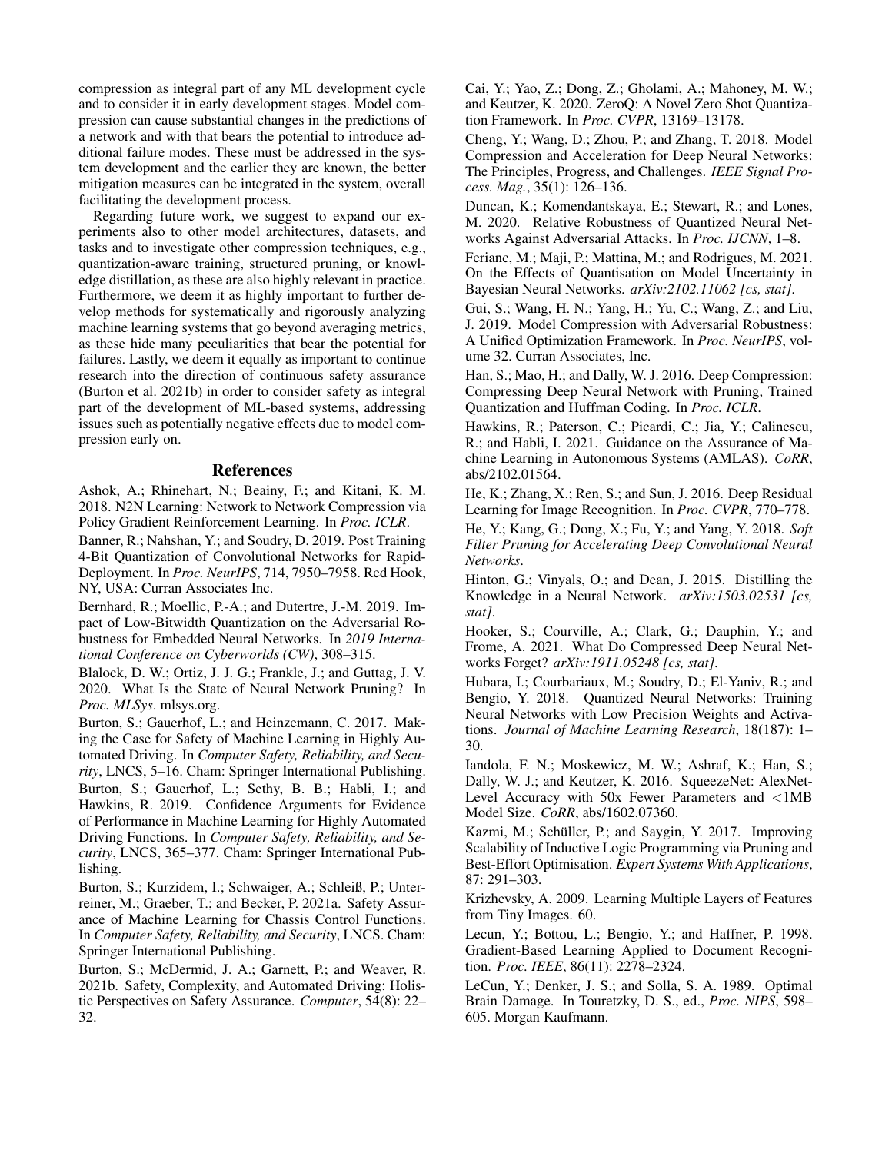compression as integral part of any ML development cycle and to consider it in early development stages. Model compression can cause substantial changes in the predictions of a network and with that bears the potential to introduce additional failure modes. These must be addressed in the system development and the earlier they are known, the better mitigation measures can be integrated in the system, overall facilitating the development process.

Regarding future work, we suggest to expand our experiments also to other model architectures, datasets, and tasks and to investigate other compression techniques, e.g., quantization-aware training, structured pruning, or knowledge distillation, as these are also highly relevant in practice. Furthermore, we deem it as highly important to further develop methods for systematically and rigorously analyzing machine learning systems that go beyond averaging metrics, as these hide many peculiarities that bear the potential for failures. Lastly, we deem it equally as important to continue research into the direction of continuous safety assurance (Burton et al. 2021b) in order to consider safety as integral part of the development of ML-based systems, addressing issues such as potentially negative effects due to model compression early on.

#### References

Ashok, A.; Rhinehart, N.; Beainy, F.; and Kitani, K. M. 2018. N2N Learning: Network to Network Compression via Policy Gradient Reinforcement Learning. In *Proc. ICLR*.

Banner, R.; Nahshan, Y.; and Soudry, D. 2019. Post Training 4-Bit Quantization of Convolutional Networks for Rapid-Deployment. In *Proc. NeurIPS*, 714, 7950–7958. Red Hook, NY, USA: Curran Associates Inc.

Bernhard, R.; Moellic, P.-A.; and Dutertre, J.-M. 2019. Impact of Low-Bitwidth Quantization on the Adversarial Robustness for Embedded Neural Networks. In *2019 International Conference on Cyberworlds (CW)*, 308–315.

Blalock, D. W.; Ortiz, J. J. G.; Frankle, J.; and Guttag, J. V. 2020. What Is the State of Neural Network Pruning? In *Proc. MLSys*. mlsys.org.

Burton, S.; Gauerhof, L.; and Heinzemann, C. 2017. Making the Case for Safety of Machine Learning in Highly Automated Driving. In *Computer Safety, Reliability, and Security*, LNCS, 5–16. Cham: Springer International Publishing.

Burton, S.; Gauerhof, L.; Sethy, B. B.; Habli, I.; and Hawkins, R. 2019. Confidence Arguments for Evidence of Performance in Machine Learning for Highly Automated Driving Functions. In *Computer Safety, Reliability, and Security*, LNCS, 365–377. Cham: Springer International Publishing.

Burton, S.; Kurzidem, I.; Schwaiger, A.; Schleiß, P.; Unterreiner, M.; Graeber, T.; and Becker, P. 2021a. Safety Assurance of Machine Learning for Chassis Control Functions. In *Computer Safety, Reliability, and Security*, LNCS. Cham: Springer International Publishing.

Burton, S.; McDermid, J. A.; Garnett, P.; and Weaver, R. 2021b. Safety, Complexity, and Automated Driving: Holistic Perspectives on Safety Assurance. *Computer*, 54(8): 22– 32.

Cai, Y.; Yao, Z.; Dong, Z.; Gholami, A.; Mahoney, M. W.; and Keutzer, K. 2020. ZeroQ: A Novel Zero Shot Quantization Framework. In *Proc. CVPR*, 13169–13178.

Cheng, Y.; Wang, D.; Zhou, P.; and Zhang, T. 2018. Model Compression and Acceleration for Deep Neural Networks: The Principles, Progress, and Challenges. *IEEE Signal Process. Mag.*, 35(1): 126–136.

Duncan, K.; Komendantskaya, E.; Stewart, R.; and Lones, M. 2020. Relative Robustness of Quantized Neural Networks Against Adversarial Attacks. In *Proc. IJCNN*, 1–8.

Ferianc, M.; Maji, P.; Mattina, M.; and Rodrigues, M. 2021. On the Effects of Quantisation on Model Uncertainty in Bayesian Neural Networks. *arXiv:2102.11062 [cs, stat]*.

Gui, S.; Wang, H. N.; Yang, H.; Yu, C.; Wang, Z.; and Liu, J. 2019. Model Compression with Adversarial Robustness: A Unified Optimization Framework. In *Proc. NeurIPS*, volume 32. Curran Associates, Inc.

Han, S.; Mao, H.; and Dally, W. J. 2016. Deep Compression: Compressing Deep Neural Network with Pruning, Trained Quantization and Huffman Coding. In *Proc. ICLR*.

Hawkins, R.; Paterson, C.; Picardi, C.; Jia, Y.; Calinescu, R.; and Habli, I. 2021. Guidance on the Assurance of Machine Learning in Autonomous Systems (AMLAS). *CoRR*, abs/2102.01564.

He, K.; Zhang, X.; Ren, S.; and Sun, J. 2016. Deep Residual Learning for Image Recognition. In *Proc. CVPR*, 770–778.

He, Y.; Kang, G.; Dong, X.; Fu, Y.; and Yang, Y. 2018. *Soft Filter Pruning for Accelerating Deep Convolutional Neural Networks*.

Hinton, G.; Vinyals, O.; and Dean, J. 2015. Distilling the Knowledge in a Neural Network. *arXiv:1503.02531 [cs, stat]*.

Hooker, S.; Courville, A.; Clark, G.; Dauphin, Y.; and Frome, A. 2021. What Do Compressed Deep Neural Networks Forget? *arXiv:1911.05248 [cs, stat]*.

Hubara, I.; Courbariaux, M.; Soudry, D.; El-Yaniv, R.; and Bengio, Y. 2018. Quantized Neural Networks: Training Neural Networks with Low Precision Weights and Activations. *Journal of Machine Learning Research*, 18(187): 1– 30.

Iandola, F. N.; Moskewicz, M. W.; Ashraf, K.; Han, S.; Dally, W. J.; and Keutzer, K. 2016. SqueezeNet: AlexNet-Level Accuracy with 50x Fewer Parameters and <1MB Model Size. *CoRR*, abs/1602.07360.

Kazmi, M.; Schüller, P.; and Saygin, Y. 2017. Improving Scalability of Inductive Logic Programming via Pruning and Best-Effort Optimisation. *Expert Systems With Applications*, 87: 291–303.

Krizhevsky, A. 2009. Learning Multiple Layers of Features from Tiny Images. 60.

Lecun, Y.; Bottou, L.; Bengio, Y.; and Haffner, P. 1998. Gradient-Based Learning Applied to Document Recognition. *Proc. IEEE*, 86(11): 2278–2324.

LeCun, Y.; Denker, J. S.; and Solla, S. A. 1989. Optimal Brain Damage. In Touretzky, D. S., ed., *Proc. NIPS*, 598– 605. Morgan Kaufmann.